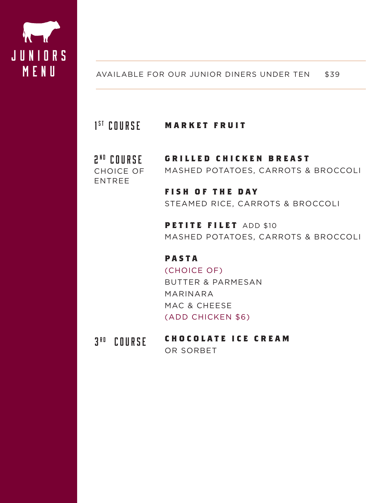

### AVAILABLE FOR OUR JUNIOR DINERS UNDER TEN \$39

#### **MARKET FRUIT** 1 1<sup>ST</sup> COURSE

#### **GRILLED CHICKEN BREAST** MASHED POTATOES, CARROTS & BROCCOLI 2<sup>ND</sup> Course CHOICE OF ENTREE

# **FISH OF THE DAY** STEAMED RICE, CARROTS & BROCCOLI

**PETITE FILET** ADD \$10 MASHED POTATOES, CARROTS & BROCCOLI

## **P A S T A**

(CHOICE OF) BUTTER & PARMESAN MARINARA MAC & CHEESE (ADD CHICKEN \$6)

#### **C H O C O L A T E I C E C R E A M**   $3<sup>RD</sup>$  Course

OR SORBET